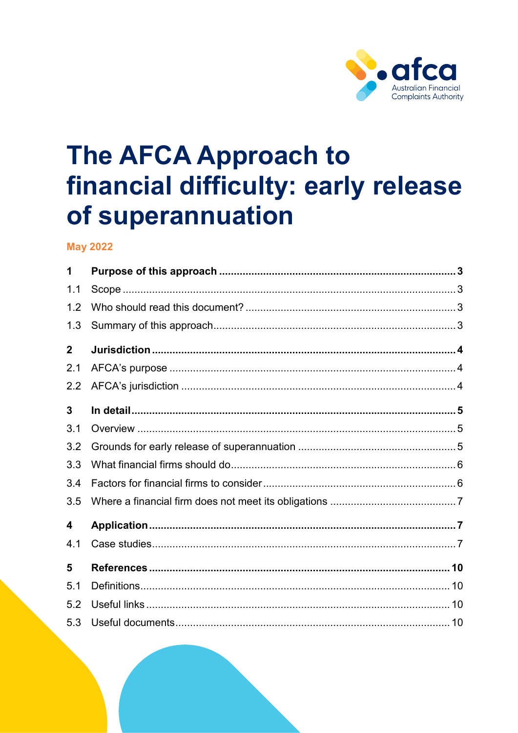

# **The AFCA Approach to** financial difficulty: early release of superannuation

# **May 2022**

| 1            |  |  |  |
|--------------|--|--|--|
| 1.1          |  |  |  |
| 1.2          |  |  |  |
| 1.3          |  |  |  |
| $\mathbf{2}$ |  |  |  |
| 2.1          |  |  |  |
| 2.2          |  |  |  |
| 3            |  |  |  |
| 3.1          |  |  |  |
| 3.2          |  |  |  |
| 3.3          |  |  |  |
| 3.4          |  |  |  |
| 3.5          |  |  |  |
| 4            |  |  |  |
| 4.1          |  |  |  |
| 5            |  |  |  |
| 5.1          |  |  |  |
| 5.2          |  |  |  |
| 5.3          |  |  |  |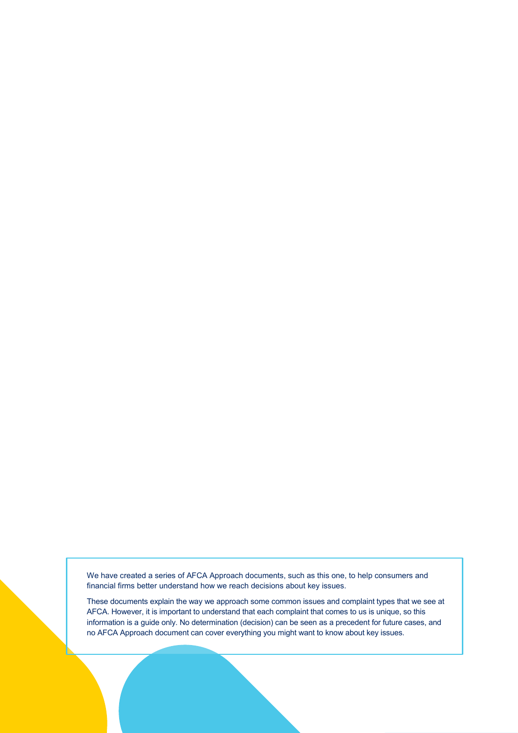We have created a series of AFCA Approach documents, such as this one, to help consumers and financial firms better understand how we reach decisions about key issues.

These documents explain the way we approach some common issues and complaint types that we see at AFCA. However, it is important to understand that each complaint that comes to us is unique, so this information is a guide only. No determination (decision) can be seen as a precedent for future cases, and no AFCA Approach document can cover everything you might want to know about key issues.

The AFCA Approach to financial difference of superancial differences of  $\mathcal{L}_1$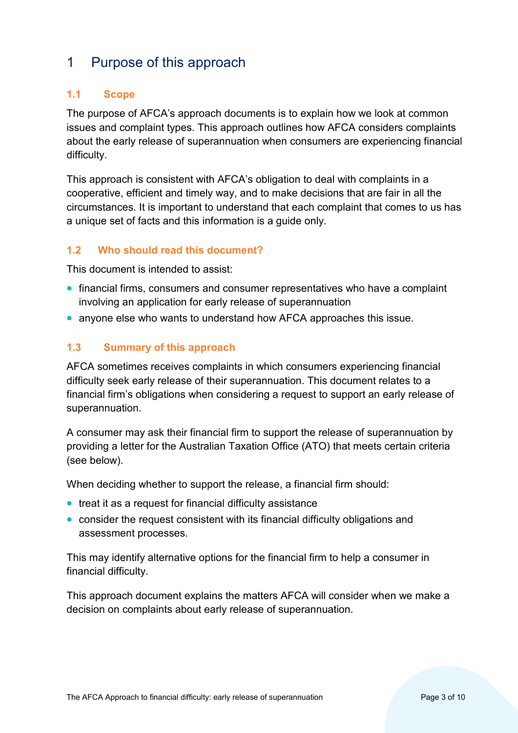# <span id="page-2-0"></span>1 Purpose of this approach

#### <span id="page-2-1"></span>**1.1 Scope**

The purpose of AFCA's approach documents is to explain how we look at common issues and complaint types. This approach outlines how AFCA considers complaints about the early release of superannuation when consumers are experiencing financial difficulty.

This approach is consistent with AFCA's obligation to deal with complaints in a cooperative, efficient and timely way, and to make decisions that are fair in all the circumstances. It is important to understand that each complaint that comes to us has a unique set of facts and this information is a guide only.

#### <span id="page-2-2"></span>**1.2 Who should read this document?**

This document is intended to assist:

- financial firms, consumers and consumer representatives who have a complaint involving an application for early release of superannuation
- anyone else who wants to understand how AFCA approaches this issue.

#### <span id="page-2-3"></span>**1.3 Summary of this approach**

AFCA sometimes receives complaints in which consumers experiencing financial difficulty seek early release of their superannuation. This document relates to a financial firm's obligations when considering a request to support an early release of superannuation.

A consumer may ask their financial firm to support the release of superannuation by providing a letter for the Australian Taxation Office (ATO) that meets certain criteria (see below).

When deciding whether to support the release, a financial firm should:

- treat it as a request for financial difficulty assistance
- consider the request consistent with its financial difficulty obligations and assessment processes.

This may identify alternative options for the financial firm to help a consumer in financial difficulty.

This approach document explains the matters AFCA will consider when we make a decision on complaints about early release of superannuation.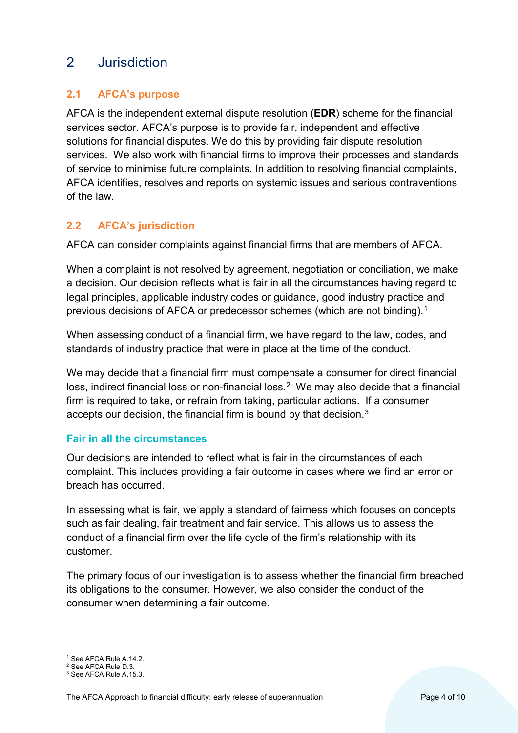# <span id="page-3-0"></span>2 Jurisdiction

## <span id="page-3-1"></span>**2.1 AFCA's purpose**

AFCA is the independent external dispute resolution (**EDR**) scheme for the financial services sector. AFCA's purpose is to provide fair, independent and effective solutions for financial disputes. We do this by providing fair dispute resolution services. We also work with financial firms to improve their processes and standards of service to minimise future complaints. In addition to resolving financial complaints, AFCA identifies, resolves and reports on systemic issues and serious contraventions of the law.

# <span id="page-3-2"></span>**2.2 AFCA's jurisdiction**

AFCA can consider complaints against financial firms that are members of AFCA.

When a complaint is not resolved by agreement, negotiation or conciliation, we make a decision. Our decision reflects what is fair in all the circumstances having regard to legal principles, applicable industry codes or guidance, good industry practice and previous decisions of AFCA or predecessor schemes (which are not binding).[1](#page-3-3) 

When assessing conduct of a financial firm, we have regard to the law, codes, and standards of industry practice that were in place at the time of the conduct.

We may decide that a financial firm must compensate a consumer for direct financial loss, indirect financial loss or non-financial loss.<sup>2</sup> We may also decide that a financial firm is required to take, or refrain from taking, particular actions. If a consumer accepts our decision, the financial firm is bound by that decision.[3](#page-3-5)

#### **Fair in all the circumstances**

Our decisions are intended to reflect what is fair in the circumstances of each complaint. This includes providing a fair outcome in cases where we find an error or breach has occurred.

In assessing what is fair, we apply a standard of fairness which focuses on concepts such as fair dealing, fair treatment and fair service. This allows us to assess the conduct of a financial firm over the life cycle of the firm's relationship with its customer.

The primary focus of our investigation is to assess whether the financial firm breached its obligations to the consumer. However, we also consider the conduct of the consumer when determining a fair outcome.

<sup>&</sup>lt;sup>1</sup> See AFCA Rule A.14.2.

<span id="page-3-4"></span><span id="page-3-3"></span><sup>2</sup> See AFCA Rule D.3.

<span id="page-3-5"></span><sup>3</sup> See AFCA Rule A.15.3.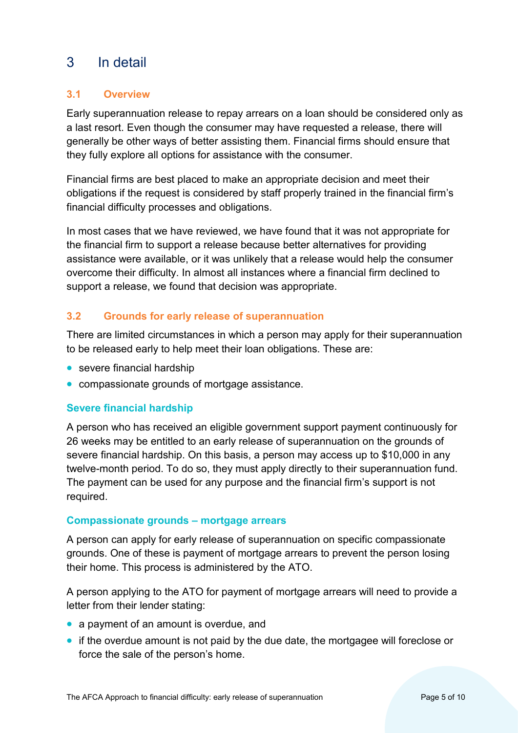# <span id="page-4-0"></span>3 In detail

#### <span id="page-4-1"></span>**3.1 Overview**

Early superannuation release to repay arrears on a loan should be considered only as a last resort. Even though the consumer may have requested a release, there will generally be other ways of better assisting them. Financial firms should ensure that they fully explore all options for assistance with the consumer.

Financial firms are best placed to make an appropriate decision and meet their obligations if the request is considered by staff properly trained in the financial firm's financial difficulty processes and obligations.

In most cases that we have reviewed, we have found that it was not appropriate for the financial firm to support a release because better alternatives for providing assistance were available, or it was unlikely that a release would help the consumer overcome their difficulty. In almost all instances where a financial firm declined to support a release, we found that decision was appropriate.

#### <span id="page-4-2"></span>**3.2 Grounds for early release of superannuation**

There are limited circumstances in which a person may apply for their superannuation to be released early to help meet their loan obligations. These are:

- severe financial hardship
- compassionate grounds of mortgage assistance.

#### **Severe financial hardship**

A person who has received an eligible government support payment continuously for 26 weeks may be entitled to an early release of superannuation on the grounds of severe financial hardship. On this basis, a person may access up to \$10,000 in any twelve-month period. To do so, they must apply directly to their superannuation fund. The payment can be used for any purpose and the financial firm's support is not required.

#### **Compassionate grounds – mortgage arrears**

A person can apply for early release of superannuation on specific compassionate grounds. One of these is payment of mortgage arrears to prevent the person losing their home. This process is administered by the ATO.

A person applying to the ATO for payment of mortgage arrears will need to provide a letter from their lender stating:

- a payment of an amount is overdue, and
- if the overdue amount is not paid by the due date, the mortgagee will foreclose or force the sale of the person's home.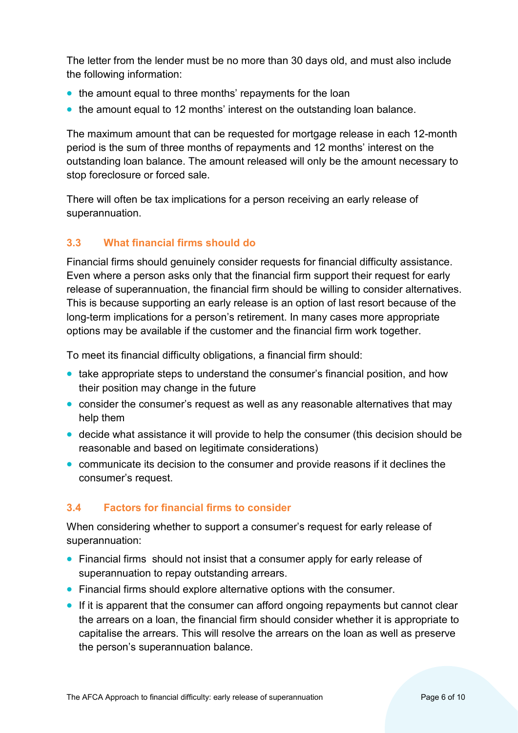The letter from the lender must be no more than 30 days old, and must also include the following information:

- the amount equal to three months' repayments for the loan
- the amount equal to 12 months' interest on the outstanding loan balance.

The maximum amount that can be requested for mortgage release in each 12-month period is the sum of three months of repayments and 12 months' interest on the outstanding loan balance. The amount released will only be the amount necessary to stop foreclosure or forced sale.

There will often be tax implications for a person receiving an early release of superannuation.

#### <span id="page-5-0"></span>**3.3 What financial firms should do**

Financial firms should genuinely consider requests for financial difficulty assistance. Even where a person asks only that the financial firm support their request for early release of superannuation, the financial firm should be willing to consider alternatives. This is because supporting an early release is an option of last resort because of the long-term implications for a person's retirement. In many cases more appropriate options may be available if the customer and the financial firm work together.

To meet its financial difficulty obligations, a financial firm should:

- take appropriate steps to understand the consumer's financial position, and how their position may change in the future
- consider the consumer's request as well as any reasonable alternatives that may help them
- decide what assistance it will provide to help the consumer (this decision should be reasonable and based on legitimate considerations)
- communicate its decision to the consumer and provide reasons if it declines the consumer's request.

# <span id="page-5-1"></span>**3.4 Factors for financial firms to consider**

When considering whether to support a consumer's request for early release of superannuation:

- Financial firms should not insist that a consumer apply for early release of superannuation to repay outstanding arrears.
- Financial firms should explore alternative options with the consumer.
- If it is apparent that the consumer can afford ongoing repayments but cannot clear the arrears on a loan, the financial firm should consider whether it is appropriate to capitalise the arrears. This will resolve the arrears on the loan as well as preserve the person's superannuation balance.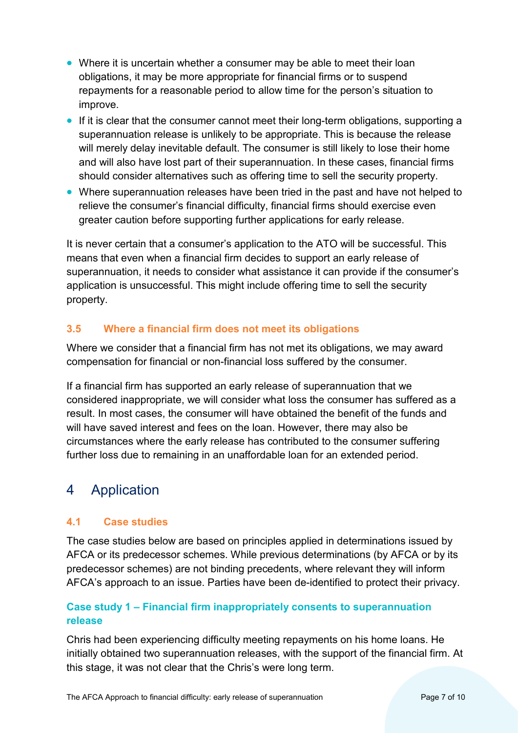- Where it is uncertain whether a consumer may be able to meet their loan obligations, it may be more appropriate for financial firms or to suspend repayments for a reasonable period to allow time for the person's situation to improve.
- If it is clear that the consumer cannot meet their long-term obligations, supporting a superannuation release is unlikely to be appropriate. This is because the release will merely delay inevitable default. The consumer is still likely to lose their home and will also have lost part of their superannuation. In these cases, financial firms should consider alternatives such as offering time to sell the security property.
- Where superannuation releases have been tried in the past and have not helped to relieve the consumer's financial difficulty, financial firms should exercise even greater caution before supporting further applications for early release.

It is never certain that a consumer's application to the ATO will be successful. This means that even when a financial firm decides to support an early release of superannuation, it needs to consider what assistance it can provide if the consumer's application is unsuccessful. This might include offering time to sell the security property.

#### <span id="page-6-0"></span>**3.5 Where a financial firm does not meet its obligations**

Where we consider that a financial firm has not met its obligations, we may award compensation for financial or non-financial loss suffered by the consumer.

If a financial firm has supported an early release of superannuation that we considered inappropriate, we will consider what loss the consumer has suffered as a result. In most cases, the consumer will have obtained the benefit of the funds and will have saved interest and fees on the loan. However, there may also be circumstances where the early release has contributed to the consumer suffering further loss due to remaining in an unaffordable loan for an extended period.

# <span id="page-6-1"></span>4 Application

# <span id="page-6-2"></span>**4.1 Case studies**

The case studies below are based on principles applied in determinations issued by AFCA or its predecessor schemes. While previous determinations (by AFCA or by its predecessor schemes) are not binding precedents, where relevant they will inform AFCA's approach to an issue. Parties have been de-identified to protect their privacy.

#### **Case study 1 – Financial firm inappropriately consents to superannuation release**

Chris had been experiencing difficulty meeting repayments on his home loans. He initially obtained two superannuation releases, with the support of the financial firm. At this stage, it was not clear that the Chris's were long term.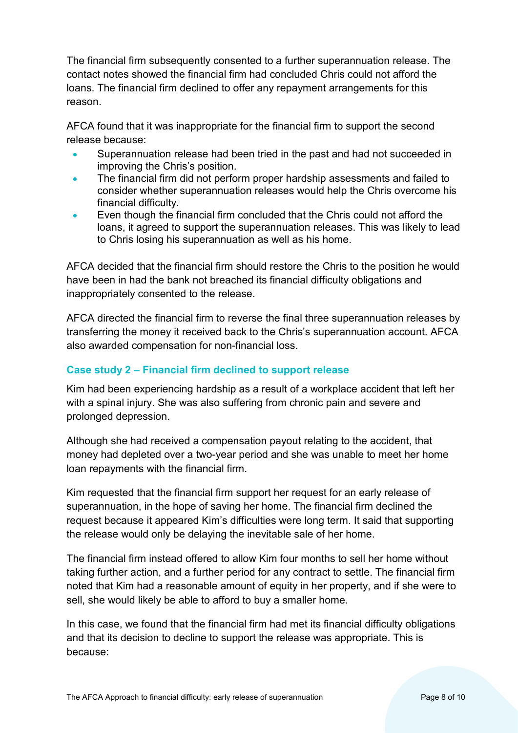The financial firm subsequently consented to a further superannuation release. The contact notes showed the financial firm had concluded Chris could not afford the loans. The financial firm declined to offer any repayment arrangements for this reason.

AFCA found that it was inappropriate for the financial firm to support the second release because:

- Superannuation release had been tried in the past and had not succeeded in improving the Chris's position.
- The financial firm did not perform proper hardship assessments and failed to consider whether superannuation releases would help the Chris overcome his financial difficulty.
- Even though the financial firm concluded that the Chris could not afford the loans, it agreed to support the superannuation releases. This was likely to lead to Chris losing his superannuation as well as his home.

AFCA decided that the financial firm should restore the Chris to the position he would have been in had the bank not breached its financial difficulty obligations and inappropriately consented to the release.

AFCA directed the financial firm to reverse the final three superannuation releases by transferring the money it received back to the Chris's superannuation account. AFCA also awarded compensation for non-financial loss.

## **Case study 2 – Financial firm declined to support release**

Kim had been experiencing hardship as a result of a workplace accident that left her with a spinal injury. She was also suffering from chronic pain and severe and prolonged depression.

Although she had received a compensation payout relating to the accident, that money had depleted over a two-year period and she was unable to meet her home loan repayments with the financial firm.

Kim requested that the financial firm support her request for an early release of superannuation, in the hope of saving her home. The financial firm declined the request because it appeared Kim's difficulties were long term. It said that supporting the release would only be delaying the inevitable sale of her home.

The financial firm instead offered to allow Kim four months to sell her home without taking further action, and a further period for any contract to settle. The financial firm noted that Kim had a reasonable amount of equity in her property, and if she were to sell, she would likely be able to afford to buy a smaller home.

In this case, we found that the financial firm had met its financial difficulty obligations and that its decision to decline to support the release was appropriate. This is because: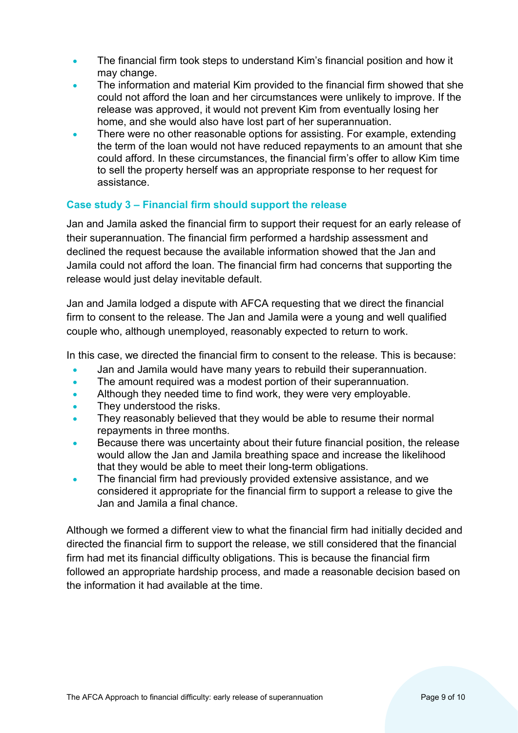- The financial firm took steps to understand Kim's financial position and how it may change.
- The information and material Kim provided to the financial firm showed that she could not afford the loan and her circumstances were unlikely to improve. If the release was approved, it would not prevent Kim from eventually losing her home, and she would also have lost part of her superannuation.
- There were no other reasonable options for assisting. For example, extending the term of the loan would not have reduced repayments to an amount that she could afford. In these circumstances, the financial firm's offer to allow Kim time to sell the property herself was an appropriate response to her request for assistance.

#### **Case study 3 – Financial firm should support the release**

Jan and Jamila asked the financial firm to support their request for an early release of their superannuation. The financial firm performed a hardship assessment and declined the request because the available information showed that the Jan and Jamila could not afford the loan. The financial firm had concerns that supporting the release would just delay inevitable default.

Jan and Jamila lodged a dispute with AFCA requesting that we direct the financial firm to consent to the release. The Jan and Jamila were a young and well qualified couple who, although unemployed, reasonably expected to return to work.

In this case, we directed the financial firm to consent to the release. This is because:

- Jan and Jamila would have many years to rebuild their superannuation.
- The amount required was a modest portion of their superannuation.
- Although they needed time to find work, they were very employable.
- They understood the risks.
- They reasonably believed that they would be able to resume their normal repayments in three months.
- Because there was uncertainty about their future financial position, the release would allow the Jan and Jamila breathing space and increase the likelihood that they would be able to meet their long-term obligations.
- The financial firm had previously provided extensive assistance, and we considered it appropriate for the financial firm to support a release to give the Jan and Jamila a final chance.

Although we formed a different view to what the financial firm had initially decided and directed the financial firm to support the release, we still considered that the financial firm had met its financial difficulty obligations. This is because the financial firm followed an appropriate hardship process, and made a reasonable decision based on the information it had available at the time.